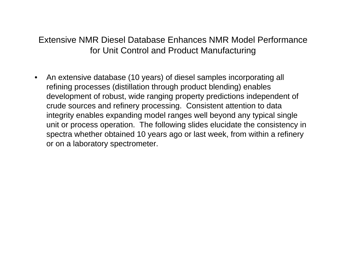## Extensive NMR Diesel Database Enhances NMR Model Performance for Unit Control and Product Manufacturing

 $\bullet$  An extensive database (10 years) of diesel samples incorporating all refining processes (distillation through product blending) enables development of robust, wide ranging property predictions independent of crude sources and refinery processing. Consistent attention to data integrity enables expanding model ranges well beyond any typical single unit or process operation. The following slides elucidate the consistency in spectra whether obtained 10 years ago or last week, from within a refinery or on a laboratory spectrometer.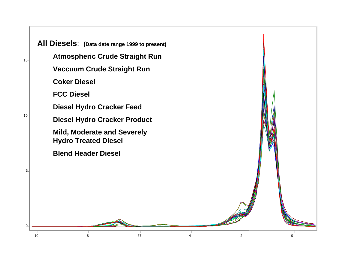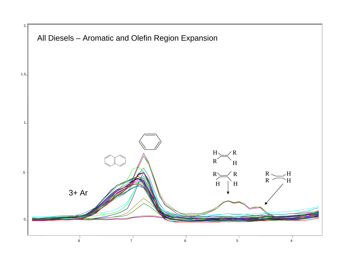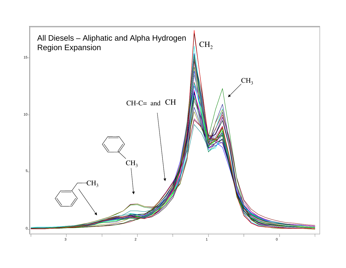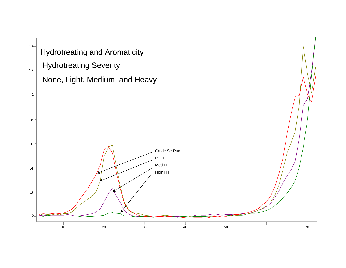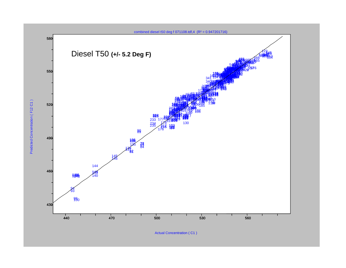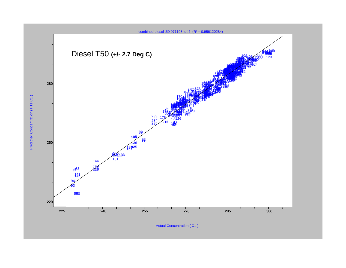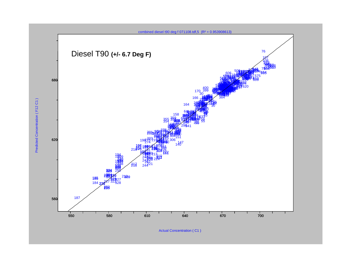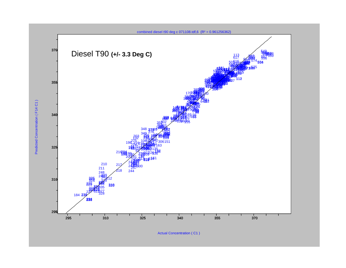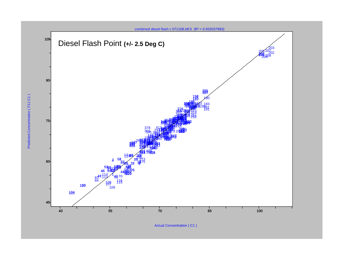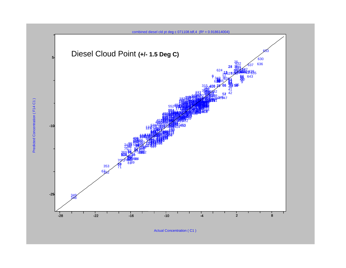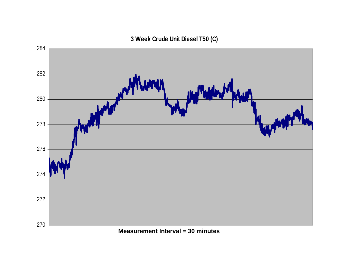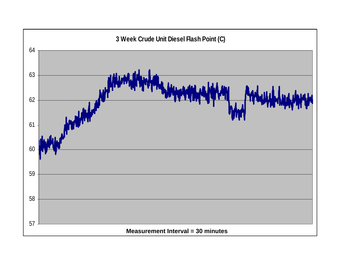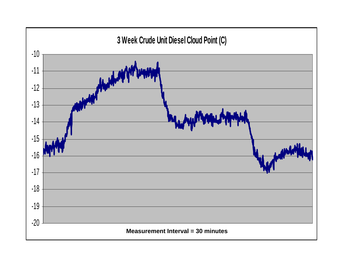